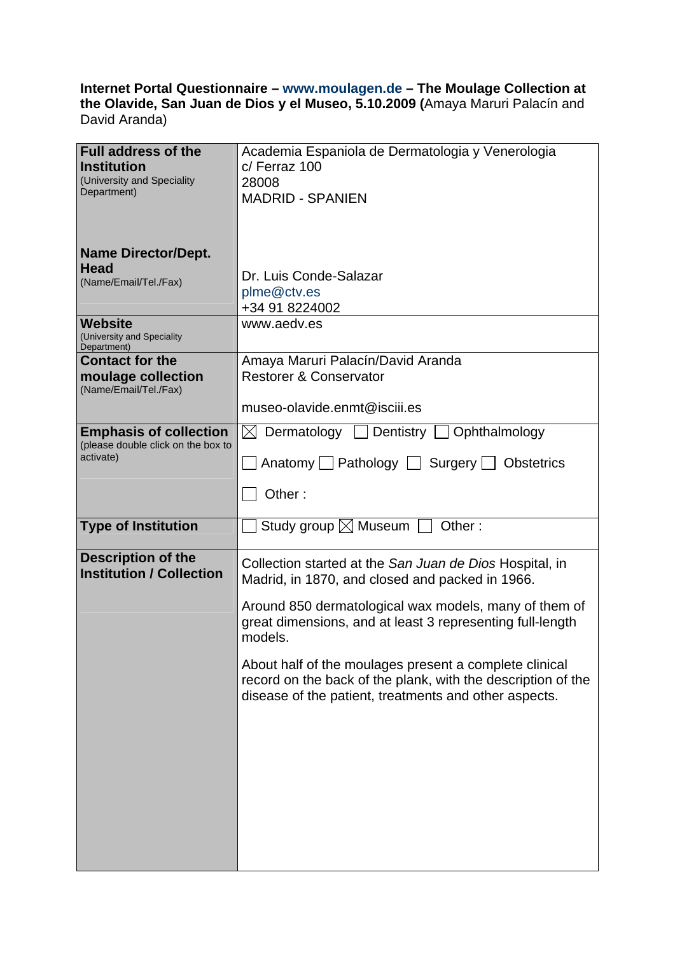## **Internet Portal Questionnaire – www.moulagen.de – The Moulage Collection at the Olavide, San Juan de Dios y el Museo, 5.10.2009 (**Amaya Maruri Palacín and David Aranda)

| <b>Full address of the</b><br><b>Institution</b><br>(University and Speciality<br>Department) | Academia Espaniola de Dermatologia y Venerologia<br>$c/$ Ferraz 100<br>28008<br><b>MADRID - SPANIEN</b>                                                                         |
|-----------------------------------------------------------------------------------------------|---------------------------------------------------------------------------------------------------------------------------------------------------------------------------------|
| <b>Name Director/Dept.</b>                                                                    |                                                                                                                                                                                 |
| Head<br>(Name/Email/Tel./Fax)                                                                 | Dr. Luis Conde-Salazar<br>plme@ctv.es<br>+34 91 8224002                                                                                                                         |
| <b>Website</b><br>(University and Speciality<br>Department)                                   | www.aedv.es                                                                                                                                                                     |
| <b>Contact for the</b><br>moulage collection<br>(Name/Email/Tel./Fax)                         | Amaya Maruri Palacín/David Aranda<br><b>Restorer &amp; Conservator</b>                                                                                                          |
|                                                                                               | museo-olavide.enmt@isciii.es                                                                                                                                                    |
| <b>Emphasis of collection</b><br>(please double click on the box to                           | $\boxtimes$ Dermatology $\Box$ Dentistry $\Box$ Ophthalmology                                                                                                                   |
| activate)                                                                                     | Anatomy $\Box$ Pathology $\Box$ Surgery $\Box$ Obstetrics                                                                                                                       |
|                                                                                               | Other:                                                                                                                                                                          |
| <b>Type of Institution</b>                                                                    | Study group $\boxtimes$ Museum<br>Other:                                                                                                                                        |
| <b>Description of the</b><br><b>Institution / Collection</b>                                  | Collection started at the San Juan de Dios Hospital, in<br>Madrid, in 1870, and closed and packed in 1966.                                                                      |
|                                                                                               | Around 850 dermatological wax models, many of them of<br>great dimensions, and at least 3 representing full-length<br>models.                                                   |
|                                                                                               | About half of the moulages present a complete clinical<br>record on the back of the plank, with the description of the<br>disease of the patient, treatments and other aspects. |
|                                                                                               |                                                                                                                                                                                 |
|                                                                                               |                                                                                                                                                                                 |
|                                                                                               |                                                                                                                                                                                 |
|                                                                                               |                                                                                                                                                                                 |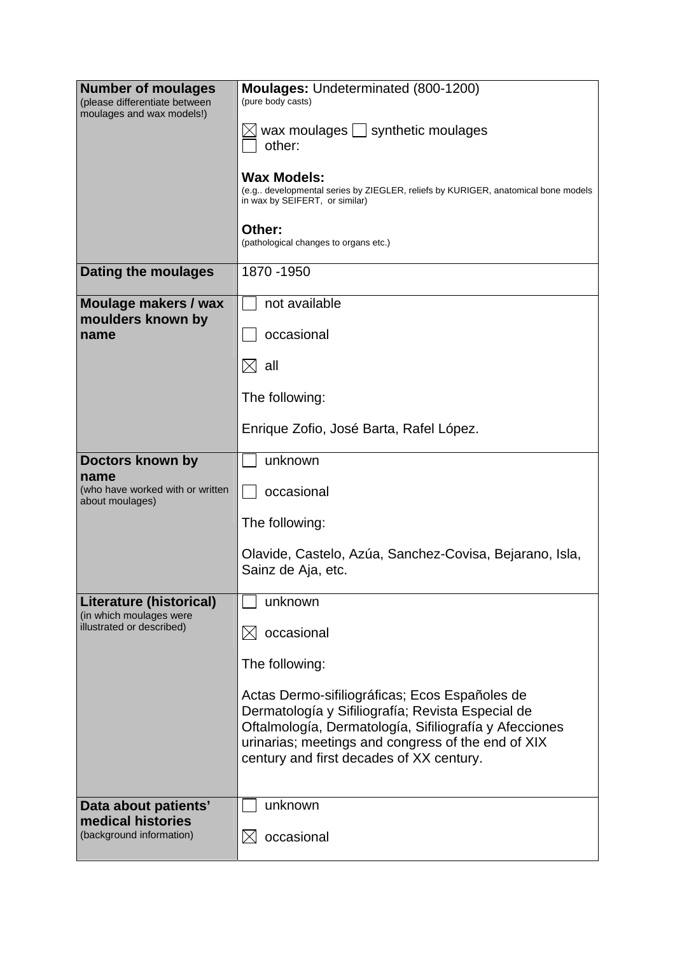| <b>Number of moulages</b><br>(please differentiate between<br>moulages and wax models!) | Moulages: Undeterminated (800-1200)<br>(pure body casts)                                                                                                                                                                                                        |
|-----------------------------------------------------------------------------------------|-----------------------------------------------------------------------------------------------------------------------------------------------------------------------------------------------------------------------------------------------------------------|
|                                                                                         | wax moulages $\Box$ synthetic moulages<br>other:                                                                                                                                                                                                                |
|                                                                                         | <b>Wax Models:</b><br>(e.g developmental series by ZIEGLER, reliefs by KURIGER, anatomical bone models<br>in wax by SEIFERT, or similar)                                                                                                                        |
|                                                                                         | Other:<br>(pathological changes to organs etc.)                                                                                                                                                                                                                 |
| Dating the moulages                                                                     | 1870 - 1950                                                                                                                                                                                                                                                     |
| Moulage makers / wax<br>moulders known by                                               | not available                                                                                                                                                                                                                                                   |
| name                                                                                    | occasional                                                                                                                                                                                                                                                      |
|                                                                                         | $\boxtimes$ all                                                                                                                                                                                                                                                 |
|                                                                                         | The following:                                                                                                                                                                                                                                                  |
|                                                                                         | Enrique Zofio, José Barta, Rafel López.                                                                                                                                                                                                                         |
| Doctors known by                                                                        | unknown                                                                                                                                                                                                                                                         |
| name<br>(who have worked with or written<br>about moulages)                             | occasional                                                                                                                                                                                                                                                      |
|                                                                                         | The following:                                                                                                                                                                                                                                                  |
|                                                                                         | Olavide, Castelo, Azúa, Sanchez-Covisa, Bejarano, Isla,<br>Sainz de Aja, etc.                                                                                                                                                                                   |
| <b>Literature (historical)</b><br>(in which moulages were                               | unknown                                                                                                                                                                                                                                                         |
| illustrated or described)                                                               | occasional<br>$\boxtimes$                                                                                                                                                                                                                                       |
|                                                                                         | The following:                                                                                                                                                                                                                                                  |
|                                                                                         | Actas Dermo-sifiliográficas; Ecos Españoles de<br>Dermatología y Sifiliografía; Revista Especial de<br>Oftalmología, Dermatología, Sifiliografía y Afecciones<br>urinarias; meetings and congress of the end of XIX<br>century and first decades of XX century. |
| Data about patients'<br>medical histories                                               | unknown                                                                                                                                                                                                                                                         |
| (background information)                                                                | occasional<br>IХI                                                                                                                                                                                                                                               |